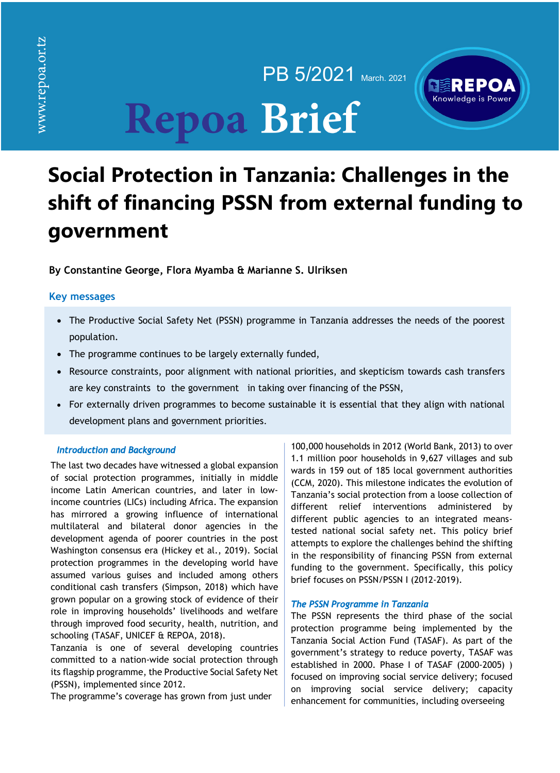PB 5/2021 March. 2021

# Knowledge is Power

# **Repoa Brief**

# **Social Protection in Tanzania: Challenges in the shift of financing PSSN from external funding to government**

**By Constantine George, Flora Myamba & Marianne S. Ulriksen**

# **Key messages**

- The Productive Social Safety Net (PSSN) programme in Tanzania addresses the needs of the poorest population.
- The programme continues to be largely externally funded,
- Resource constraints, poor alignment with national priorities, and skepticism towards cash transfers are key constraints to the government in taking over financing of the PSSN,
- For externally driven programmes to become sustainable it is essential that they align with national development plans and government priorities.

## *Introduction and Background*

The last two decades have witnessed a global expansion of social protection programmes, initially in middle income Latin American countries, and later in lowincome countries (LICs) including Africa. The expansion has mirrored a growing influence of international multilateral and bilateral donor agencies in the development agenda of poorer countries in the post Washington consensus era (Hickey et al., 2019). Social protection programmes in the developing world have assumed various guises and included among others conditional cash transfers (Simpson, 2018) which have grown popular on a growing stock of evidence of their role in improving households' livelihoods and welfare through improved food security, health, nutrition, and schooling (TASAF, UNICEF & REPOA, 2018).

Tanzania is one of several developing countries committed to a nation-wide social protection through its flagship programme, the Productive Social Safety Net (PSSN), implemented since 2012.

The programme's coverage has grown from just under

100,000 households in 2012 (World Bank, 2013) to over 1.1 million poor households in 9,627 villages and sub wards in 159 out of 185 local government authorities (CCM, 2020). This milestone indicates the evolution of Tanzania's social protection from a loose collection of different relief interventions administered by different public agencies to an integrated meanstested national social safety net. This policy brief attempts to explore the challenges behind the shifting in the responsibility of financing PSSN from external funding to the government. Specifically, this policy brief focuses on PSSN/PSSN I (2012-2019).

### *The PSSN Programme in Tanzania*

The PSSN represents the third phase of the social protection programme being implemented by the Tanzania Social Action Fund (TASAF). As part of the government's strategy to reduce poverty, TASAF was established in 2000. Phase I of TASAF (2000-2005) ) focused on improving social service delivery; focused on improving social service delivery; capacity enhancement for communities, including overseeing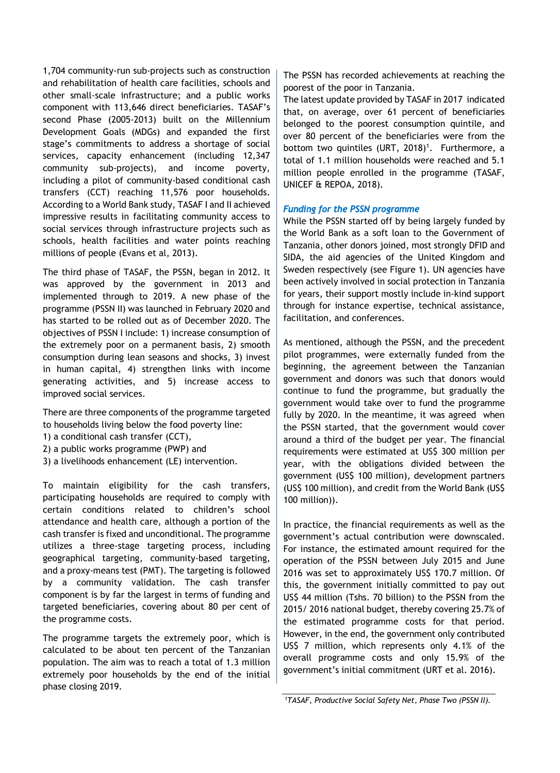1,704 community-run sub-projects such as construction and rehabilitation of health care facilities, schools and other small-scale infrastructure; and a public works component with 113,646 direct beneficiaries. TASAF's second Phase (2005-2013) built on the Millennium Development Goals (MDGs) and expanded the first stage's commitments to address a shortage of social services, capacity enhancement (including 12,347 community sub-projects), and income poverty, including a pilot of community-based conditional cash transfers (CCT) reaching 11,576 poor households. According to a World Bank study, TASAF I and II achieved impressive results in facilitating community access to social services through infrastructure projects such as schools, health facilities and water points reaching millions of people (Evans et al, 2013).

The third phase of TASAF, the PSSN, began in 2012. It was approved by the government in 2013 and implemented through to 2019. A new phase of the programme (PSSN II) was launched in February 2020 and has started to be rolled out as of December 2020. The objectives of PSSN I include: 1) increase consumption of the extremely poor on a permanent basis, 2) smooth consumption during lean seasons and shocks, 3) invest in human capital, 4) strengthen links with income generating activities, and 5) increase access to improved social services.

There are three components of the programme targeted to households living below the food poverty line:

- 1) a conditional cash transfer (CCT),
- 2) a public works programme (PWP) and
- 3) a livelihoods enhancement (LE) intervention.

To maintain eligibility for the cash transfers, participating households are required to comply with certain conditions related to children's school attendance and health care, although a portion of the cash transfer is fixed and unconditional. The programme utilizes a three-stage targeting process, including geographical targeting, community-based targeting, and a proxy-means test (PMT). The targeting is followed by a community validation. The cash transfer component is by far the largest in terms of funding and targeted beneficiaries, covering about 80 per cent of the programme costs.

The programme targets the extremely poor, which is calculated to be about ten percent of the Tanzanian population. The aim was to reach a total of 1.3 million extremely poor households by the end of the initial phase closing 2019.

The PSSN has recorded achievements at reaching the poorest of the poor in Tanzania.

The latest update provided by TASAF in 2017 indicated that, on average, over 61 percent of beneficiaries belonged to the poorest consumption quintile, and over 80 percent of the beneficiaries were from the bottom two quintiles (URT, 2018)<sup>1</sup>. Furthermore, a total of 1.1 million households were reached and 5.1 million people enrolled in the programme (TASAF, UNICEF & REPOA, 2018).

### *Funding for the PSSN programme*

While the PSSN started off by being largely funded by the World Bank as a soft loan to the Government of Tanzania, other donors joined, most strongly DFID and SIDA, the aid agencies of the United Kingdom and Sweden respectively (see Figure 1). UN agencies have been actively involved in social protection in Tanzania for years, their support mostly include in-kind support through for instance expertise, technical assistance, facilitation, and conferences.

As mentioned, although the PSSN, and the precedent pilot programmes, were externally funded from the beginning, the agreement between the Tanzanian government and donors was such that donors would continue to fund the programme, but gradually the government would take over to fund the programme fully by 2020. In the meantime, it was agreed when the PSSN started, that the government would cover around a third of the budget per year. The financial requirements were estimated at US\$ 300 million per year, with the obligations divided between the government (US\$ 100 million), development partners (US\$ 100 million), and credit from the World Bank (US\$ 100 million)).

In practice, the financial requirements as well as the government's actual contribution were downscaled. For instance, the estimated amount required for the operation of the PSSN between July 2015 and June 2016 was set to approximately US\$ 170.7 million. Of this, the government initially committed to pay out US\$ 44 million (Tshs. 70 billion) to the PSSN from the 2015/ 2016 national budget, thereby covering 25.7% of the estimated programme costs for that period. However, in the end, the government only contributed US\$ 7 million, which represents only 4.1% of the overall programme costs and only 15.9% of the government's initial commitment (URT et al. 2016).

*<sup>1</sup>TASAF, Productive Social Safety Net, Phase Two (PSSN II).*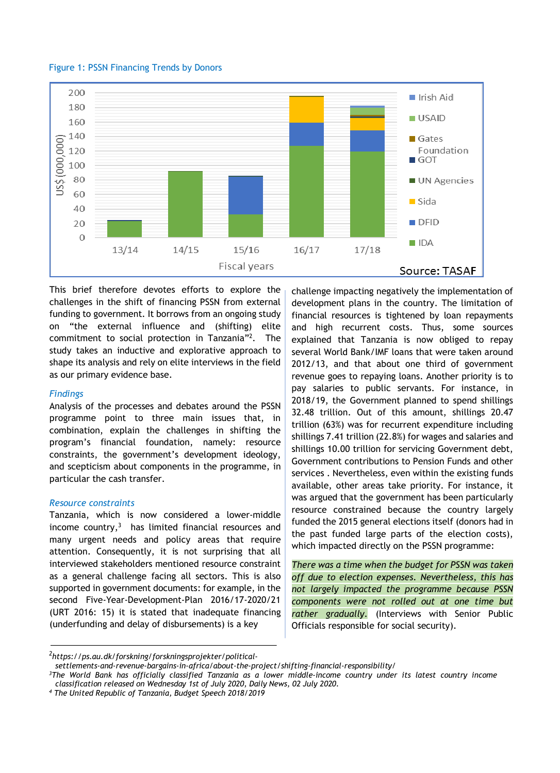



This brief therefore devotes efforts to explore the challenges in the shift of financing PSSN from external funding to government. It borrows from an ongoing study on "the external influence and (shifting) elite commitment to social protection in Tanzania"2. The study takes an inductive and explorative approach to shape its analysis and rely on elite interviews in the field as our primary evidence base.

#### *Findings*

Analysis of the processes and debates around the PSSN programme point to three main issues that, in combination, explain the challenges in shifting the program's financial foundation, namely: resource constraints, the government's development ideology, and scepticism about components in the programme, in particular the cash transfer.

#### *Resource constraints*

Tanzania, which is now considered a lower-middle income country, $3$  has limited financial resources and many urgent needs and policy areas that require attention. Consequently, it is not surprising that all interviewed stakeholders mentioned resource constraint as a general challenge facing all sectors. This is also supported in government documents: for example, in the second Five-Year-Development-Plan 2016/17-2020/21 (URT 2016: 15) it is stated that inadequate financing (underfunding and delay of disbursements) is a key

challenge impacting negatively the implementation of development plans in the country. The limitation of financial resources is tightened by loan repayments and high recurrent costs. Thus, some sources explained that Tanzania is now obliged to repay several World Bank/IMF loans that were taken around 2012/13, and that about one third of government revenue goes to repaying loans. Another priority is to pay salaries to public servants. For instance, in 2018/19, the Government planned to spend shillings 32.48 trillion. Out of this amount, shillings 20.47 trillion (63%) was for recurrent expenditure including shillings 7.41 trillion (22.8%) for wages and salaries and shillings 10.00 trillion for servicing Government debt, Government contributions to Pension Funds and other services . Nevertheless, even within the existing funds available, other areas take priority. For instance, it was argued that the government has been particularly resource constrained because the country largely funded the 2015 general elections itself (donors had in the past funded large parts of the election costs), which impacted directly on the PSSN programme:

*There was a time when the budget for PSSN was taken off due to election expenses. Nevertheless, this has not largely impacted the programme because PSSN components were not rolled out at one time but rather gradually.* (Interviews with Senior Public Officials responsible for social security).

*<sup>2</sup> https://ps.au.dk/forskning/forskningsprojekter/political-*

*settlements-and-revenue-bargains-in-africa/about-the-project/shifting-financial-responsibility/*

*<sup>3</sup>The World Bank has officially classified Tanzania as a lower middle-income country under its latest country income classification released on Wednesday 1st of July 2020, Daily News, 02 July 2020.*

*<sup>4</sup> The United Republic of Tanzania, Budget Speech 2018/2019*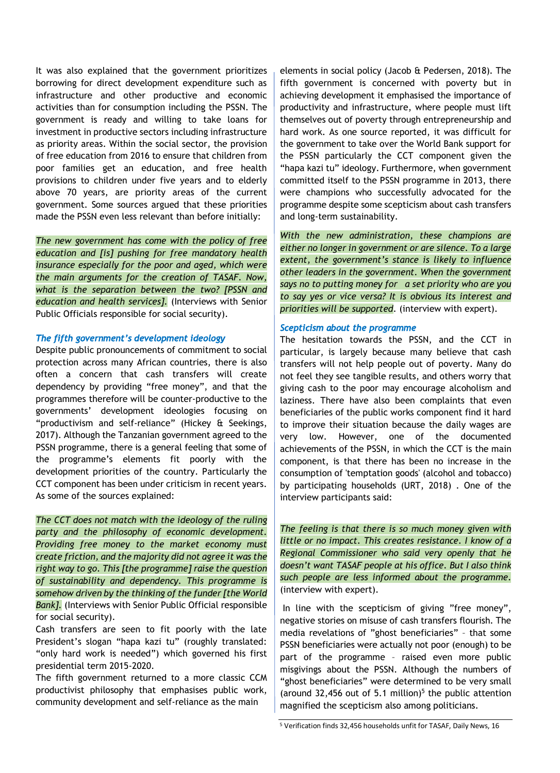It was also explained that the government prioritizes borrowing for direct development expenditure such as infrastructure and other productive and economic activities than for consumption including the PSSN. The government is ready and willing to take loans for investment in productive sectors including infrastructure as priority areas. Within the social sector, the provision of free education from 2016 to ensure that children from poor families get an education, and free health provisions to children under five years and to elderly above 70 years, are priority areas of the current government. Some sources argued that these priorities made the PSSN even less relevant than before initially:

*The new government has come with the policy of free education and [is] pushing for free mandatory health insurance especially for the poor and aged, which were the main arguments for the creation of TASAF. Now, what is the separation between the two? [PSSN and education and health services].* (Interviews with Senior Public Officials responsible for social security).

### *The fifth government's development ideology*

Despite public pronouncements of commitment to social protection across many African countries, there is also often a concern that cash transfers will create dependency by providing "free money", and that the programmes therefore will be counter-productive to the governments' development ideologies focusing on "productivism and self-reliance" (Hickey & Seekings, 2017). Although the Tanzanian government agreed to the PSSN programme, there is a general feeling that some of the programme's elements fit poorly with the development priorities of the country. Particularly the CCT component has been under criticism in recent years. As some of the sources explained:

*The CCT does not match with the ideology of the ruling party and the philosophy of economic development. Providing free money to the market economy must create friction, and the majority did not agree it was the right way to go. This [the programme] raise the question of sustainability and dependency. This programme is somehow driven by the thinking of the funder [the World Bank].* (Interviews with Senior Public Official responsible for social security).

Cash transfers are seen to fit poorly with the late President's slogan "hapa kazi tu" (roughly translated: "only hard work is needed") which governed his first presidential term 2015-2020.

The fifth government returned to a more classic CCM productivist philosophy that emphasises public work, community development and self-reliance as the main

elements in social policy (Jacob & Pedersen, 2018). The fifth government is concerned with poverty but in achieving development it emphasised the importance of productivity and infrastructure, where people must lift themselves out of poverty through entrepreneurship and hard work. As one source reported, it was difficult for the government to take over the World Bank support for the PSSN particularly the CCT component given the "hapa kazi tu" ideology. Furthermore, when government committed itself to the PSSN programme in 2013, there were champions who successfully advocated for the programme despite some scepticism about cash transfers and long-term sustainability.

*With the new administration, these champions are either no longer in government or are silence. To a large extent, the government's stance is likely to influence other leaders in the government. When the government says no to putting money for a set priority who are you to say yes or vice versa? It is obvious its interest and priorities will be supported.* (interview with expert).

### *Scepticism about the programme*

The hesitation towards the PSSN, and the CCT in particular, is largely because many believe that cash transfers will not help people out of poverty. Many do not feel they see tangible results, and others worry that giving cash to the poor may encourage alcoholism and laziness. There have also been complaints that even beneficiaries of the public works component find it hard to improve their situation because the daily wages are very low. However, one of the documented achievements of the PSSN, in which the CCT is the main component, is that there has been no increase in the consumption of 'temptation goods' (alcohol and tobacco) by participating households (URT, 2018) . One of the interview participants said:

*The feeling is that there is so much money given with little or no impact. This creates resistance. I know of a Regional Commissioner who said very openly that he doesn't want TASAF people at his office. But I also think such people are less informed about the programme.* (interview with expert).

In line with the scepticism of giving "free money", negative stories on misuse of cash transfers flourish. The media revelations of "ghost beneficiaries" – that some PSSN beneficiaries were actually not poor (enough) to be part of the programme – raised even more public misgivings about the PSSN. Although the numbers of "ghost beneficiaries" were determined to be very small (around 32,456 out of 5.1 million)<sup>5</sup> the public attention magnified the scepticism also among politicians.

<sup>5</sup> Verification finds 32,456 households unfit for TASAF, Daily News, 16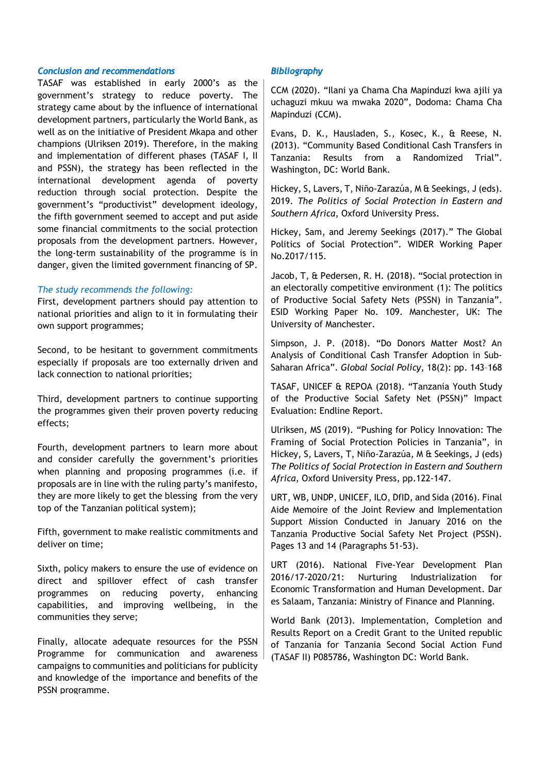#### *Conclusion and recommendations*

TASAF was established in early 2000's as the government's strategy to reduce poverty. The strategy came about by the influence of international development partners, particularly the World Bank, as well as on the initiative of President Mkapa and other champions (Ulriksen 2019). Therefore, in the making and implementation of different phases (TASAF I, II and PSSN), the strategy has been reflected in the international development agenda of poverty reduction through social protection. Despite the government's "productivist" development ideology, the fifth government seemed to accept and put aside some financial commitments to the social protection proposals from the development partners. However, the long-term sustainability of the programme is in danger, given the limited government financing of SP.

#### *The study recommends the following:*

First, development partners should pay attention to national priorities and align to it in formulating their own support programmes;

Second, to be hesitant to government commitments especially if proposals are too externally driven and lack connection to national priorities;

Third, development partners to continue supporting the programmes given their proven poverty reducing effects;

Fourth, development partners to learn more about and consider carefully the government's priorities when planning and proposing programmes (i.e. if proposals are in line with the ruling party's manifesto, they are more likely to get the blessing from the very top of the Tanzanian political system);

Fifth, government to make realistic commitments and deliver on time;

Sixth, policy makers to ensure the use of evidence on direct and spillover effect of cash transfer programmes on reducing poverty, enhancing capabilities, and improving wellbeing, in the communities they serve;

Finally, allocate adequate resources for the PSSN Programme for communication and awareness campaigns to communities and politicians for publicity and knowledge of the importance and benefits of the PSSN programme.

### *Bibliography*

CCM (2020). "Ilani ya Chama Cha Mapinduzi kwa ajili ya uchaguzi mkuu wa mwaka 2020", Dodoma: Chama Cha Mapinduzi (CCM).

Evans, D. K., Hausladen, S., Kosec, K., & Reese, N. (2013). "Community Based Conditional Cash Transfers in Tanzania: Results from a Randomized Trial". Washington, DC: World Bank.

Hickey, S, Lavers, T, Niño-Zarazúa, M & Seekings, J (eds). 2019. *The Politics of Social Protection in Eastern and Southern Africa*, Oxford University Press.

Hickey, Sam, and Jeremy Seekings (2017)." The Global Politics of Social Protection". WIDER Working Paper No.2017/115.

Jacob, T, & Pedersen, R. H. (2018). "Social protection in an electorally competitive environment (1): The politics of Productive Social Safety Nets (PSSN) in Tanzania". ESID Working Paper No. 109. Manchester, UK: The University of Manchester.

Simpson, J. P. (2018). "Do Donors Matter Most? An Analysis of Conditional Cash Transfer Adoption in Sub-Saharan Africa". *Global Social Policy*, 18(2): pp. 143–168

TASAF, UNICEF & REPOA (2018). "Tanzania Youth Study of the Productive Social Safety Net (PSSN)" Impact Evaluation: Endline Report.

Ulriksen, MS (2019). "Pushing for Policy Innovation: The Framing of Social Protection Policies in Tanzania", in Hickey, S, Lavers, T, Niño-Zarazúa, M & Seekings, J (eds) *The Politics of Social Protection in Eastern and Southern Africa*, Oxford University Press, pp.122-147.

URT, WB, UNDP, UNICEF, ILO, DfID, and Sida (2016). Final Aide Memoire of the Joint Review and Implementation Support Mission Conducted in January 2016 on the Tanzania Productive Social Safety Net Project (PSSN). Pages 13 and 14 (Paragraphs 51-53).

URT (2016). National Five-Year Development Plan 2016/17-2020/21: Nurturing Industrialization for Economic Transformation and Human Development. Dar es Salaam, Tanzania: Ministry of Finance and Planning.

World Bank (2013). Implementation, Completion and Results Report on a Credit Grant to the United republic of Tanzania for Tanzania Second Social Action Fund (TASAF II) P085786, Washington DC: World Bank.